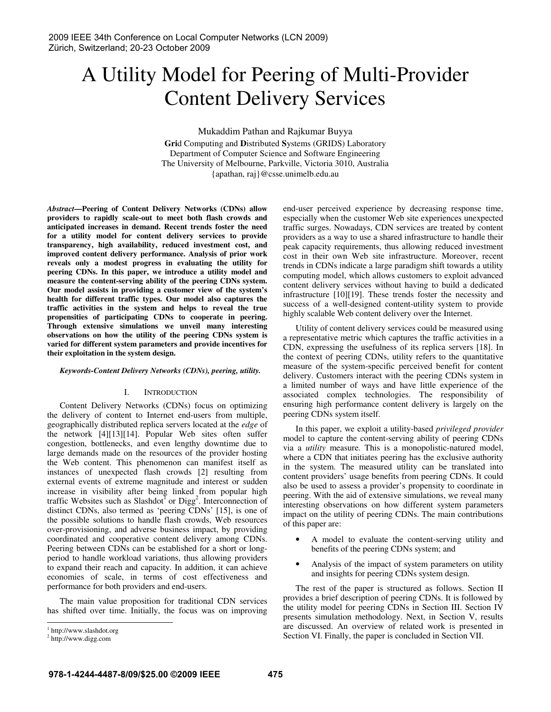# A Utility Model for Peering of Multi-Provider Content Delivery Services

Mukaddim Pathan and Rajkumar Buyya

Grid Computing and Distributed Systems (GRIDS) Laboratory Department of Computer Science and Software Engineering The University of Melbourne, Parkville, Victoria 3010, Australia {apathan, raj}@csse.unimelb.edu.au

Abstract—Peering of Content Delivery Networks (CDNs) allow providers to rapidly scale-out to meet both flash crowds and anticipated increases in demand. Recent trends foster the need for a utility model for content delivery services to provide transparency, high availability, reduced investment cost, and improved content delivery performance. Analysis of prior work reveals only a modest progress in evaluating the utility for peering CDNs. In this paper, we introduce a utility model and measure the content-serving ability of the peering CDNs system. Our model assists in providing a customer view of the system's health for different traffic types. Our model also captures the traffic activities in the system and helps to reveal the true propensities of participating CDNs to cooperate in peering. Through extensive simulations we unveil many interesting observations on how the utility of the peering CDNs system is varied for different system parameters and provide incentives for their exploitation in the system design.

## Keywords-Content Delivery Networks (CDNs), peering, utility.

## I. INTRODUCTION

Content Delivery Networks (CDNs) focus on optimizing the delivery of content to Internet end-users from multiple, geographically distributed replica servers located at the edge of the network [4][13][14]. Popular Web sites often suffer congestion, bottlenecks, and even lengthy downtime due to large demands made on the resources of the provider hosting the Web content. This phenomenon can manifest itself as instances of unexpected flash crowds [2] resulting from external events of extreme magnitude and interest or sudden increase in visibility after being linked from popular high traffic Websites such as Slashdot<sup>I</sup> or Digg<sup>2</sup>. Interconnection of distinct CDNs, also termed as 'peering CDNs' [15], is one of the possible solutions to handle flash crowds, Web resources over-provisioning, and adverse business impact, by providing coordinated and cooperative content delivery among CDNs. Peering between CDNs can be established for a short or longperiod to handle workload variations, thus allowing providers to expand their reach and capacity. In addition, it can achieve economies of scale, in terms of cost effectiveness and performance for both providers and end-users.

The main value proposition for traditional CDN services has shifted over time. Initially, the focus was on improving

1

end-user perceived experience by decreasing response time, especially when the customer Web site experiences unexpected traffic surges. Nowadays, CDN services are treated by content providers as a way to use a shared infrastructure to handle their peak capacity requirements, thus allowing reduced investment cost in their own Web site infrastructure. Moreover, recent trends in CDNs indicate a large paradigm shift towards a utility computing model, which allows customers to exploit advanced content delivery services without having to build a dedicated infrastructure [10][19]. These trends foster the necessity and success of a well-designed content-utility system to provide highly scalable Web content delivery over the Internet.

Utility of content delivery services could be measured using a representative metric which captures the traffic activities in a CDN, expressing the usefulness of its replica servers [18]. In the context of peering CDNs, utility refers to the quantitative measure of the system-specific perceived benefit for content delivery. Customers interact with the peering CDNs system in a limited number of ways and have little experience of the associated complex technologies. The responsibility of ensuring high performance content delivery is largely on the peering CDNs system itself.

In this paper, we exploit a utility-based privileged provider model to capture the content-serving ability of peering CDNs via a utility measure. This is a monopolistic-natured model, where a CDN that initiates peering has the exclusive authority in the system. The measured utility can be translated into content providers' usage benefits from peering CDNs. It could also be used to assess a provider's propensity to coordinate in peering. With the aid of extensive simulations, we reveal many interesting observations on how different system parameters impact on the utility of peering CDNs. The main contributions of this paper are:

- A model to evaluate the content-serving utility and benefits of the peering CDNs system; and
- Analysis of the impact of system parameters on utility and insights for peering CDNs system design.

The rest of the paper is structured as follows. Section II provides a brief description of peering CDNs. It is followed by the utility model for peering CDNs in Section III. Section IV presents simulation methodology. Next, in Section V, results are discussed. An overview of related work is presented in Section VI. Finally, the paper is concluded in Section VII.

<sup>1</sup> http://www.slashdot.org

<sup>2</sup> http://www.digg.com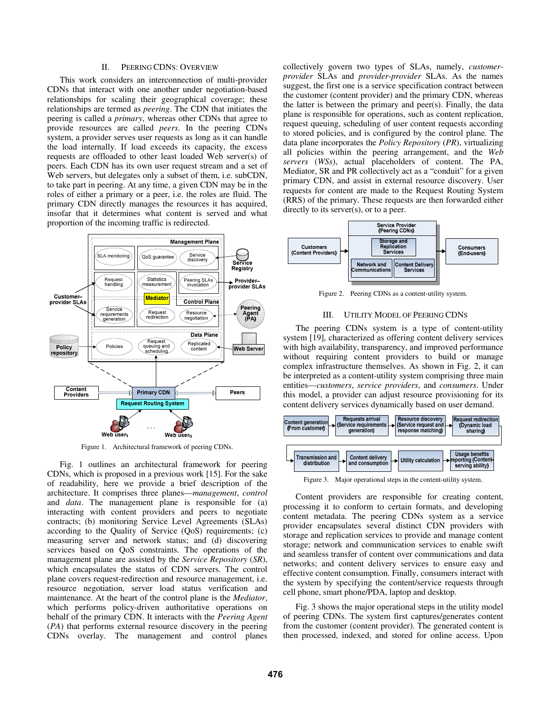## II. PEERING CDNS: OVERVIEW

This work considers an interconnection of multi-provider CDNs that interact with one another under negotiation-based relationships for scaling their geographical coverage; these relationships are termed as peering. The CDN that initiates the peering is called a primary, whereas other CDNs that agree to provide resources are called peers. In the peering CDNs system, a provider serves user requests as long as it can handle the load internally. If load exceeds its capacity, the excess requests are offloaded to other least loaded Web server(s) of peers. Each CDN has its own user request stream and a set of Web servers, but delegates only a subset of them, *i.e.* subCDN, to take part in peering. At any time, a given CDN may be in the roles of either a primary or a peer, i.e. the roles are fluid. The primary CDN directly manages the resources it has acquired, insofar that it determines what content is served and what proportion of the incoming traffic is redirected.



Figure 1. Architectural framework of peering CDNs.

Fig. 1 outlines an architectural framework for peering CDNs, which is proposed in a previous work [15]. For the sake of readability, here we provide a brief description of the architecture. It comprises three planes—management, control and data. The management plane is responsible for (a) interacting with content providers and peers to negotiate contracts; (b) monitoring Service Level Agreements (SLAs) according to the Quality of Service (QoS) requirements; (c) measuring server and network status; and (d) discovering services based on QoS constraints. The operations of the management plane are assisted by the Service Repository (SR), which encapsulates the status of CDN servers. The control plane covers request-redirection and resource management, i.e. resource negotiation, server load status verification and maintenance. At the heart of the control plane is the Mediator, which performs policy-driven authoritative operations on behalf of the primary CDN. It interacts with the Peering Agent (PA) that performs external resource discovery in the peering CDNs overlay. The management and control planes collectively govern two types of SLAs, namely, customerprovider SLAs and provider-provider SLAs. As the names suggest, the first one is a service specification contract between the customer (content provider) and the primary CDN, whereas the latter is between the primary and peer(s). Finally, the data plane is responsible for operations, such as content replication, request queuing, scheduling of user content requests according to stored policies, and is configured by the control plane. The data plane incorporates the Policy Repository (PR), virtualizing all policies within the peering arrangement, and the Web servers (WSs), actual placeholders of content. The PA, Mediator, SR and PR collectively act as a "conduit" for a given primary CDN, and assist in external resource discovery. User requests for content are made to the Request Routing System (RRS) of the primary. These requests are then forwarded either directly to its server(s), or to a peer.



Figure 2. Peering CDNs as a content-utility system.

## III. UTILITY MODEL OF PEERING CDNS

The peering CDNs system is a type of content-utility system [19], characterized as offering content delivery services with high availability, transparency, and improved performance without requiring content providers to build or manage complex infrastructure themselves. As shown in Fig. 2, it can be interpreted as a content-utility system comprising three main entities—customers, service providers, and consumers. Under this model, a provider can adjust resource provisioning for its content delivery services dynamically based on user demand.



Figure 3. Major operational steps in the content-utility system.

Content providers are responsible for creating content, processing it to conform to certain formats, and developing content metadata. The peering CDNs system as a service provider encapsulates several distinct CDN providers with storage and replication services to provide and manage content storage; network and communication services to enable swift and seamless transfer of content over communications and data networks; and content delivery services to ensure easy and effective content consumption. Finally, consumers interact with the system by specifying the content/service requests through cell phone, smart phone/PDA, laptop and desktop.

Fig. 3 shows the major operational steps in the utility model of peering CDNs. The system first captures/generates content from the customer (content provider). The generated content is then processed, indexed, and stored for online access. Upon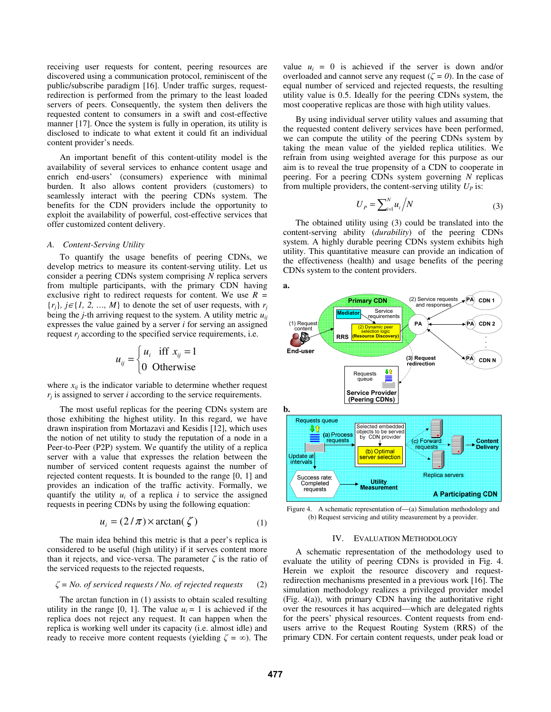receiving user requests for content, peering resources are discovered using a communication protocol, reminiscent of the public/subscribe paradigm [16]. Under traffic surges, requestredirection is performed from the primary to the least loaded servers of peers. Consequently, the system then delivers the requested content to consumers in a swift and cost-effective manner [17]. Once the system is fully in operation, its utility is disclosed to indicate to what extent it could fit an individual content provider's needs.

An important benefit of this content-utility model is the availability of several services to enhance content usage and enrich end-users' (consumers) experience with minimal burden. It also allows content providers (customers) to seamlessly interact with the peering CDNs system. The benefits for the CDN providers include the opportunity to exploit the availability of powerful, cost-effective services that offer customized content delivery.

#### A. Content-Serving Utility

To quantify the usage benefits of peering CDNs, we develop metrics to measure its content-serving utility. Let us consider a peering CDNs system comprising  $N$  replica servers from multiple participants, with the primary CDN having exclusive right to redirect requests for content. We use  $R =$  ${r_i}$ ,  $j \in \{1, 2, ..., M\}$  to denote the set of user requests, with  $r_i$ being the *j*-th arriving request to the system. A utility metric  $u_{ii}$ expresses the value gained by a server  $i$  for serving an assigned request  $r_i$  according to the specified service requirements, i.e.

$$
u_{ij} = \begin{cases} u_i & \text{iff } x_{ij} = 1 \\ 0 & \text{Otherwise} \end{cases}
$$

where  $x_{ij}$  is the indicator variable to determine whether request  $r_i$  is assigned to server *i* according to the service requirements.

The most useful replicas for the peering CDNs system are those exhibiting the highest utility. In this regard, we have drawn inspiration from Mortazavi and Kesidis [12], which uses the notion of net utility to study the reputation of a node in a Peer-to-Peer (P2P) system. We quantify the utility of a replica server with a value that expresses the relation between the number of serviced content requests against the number of rejected content requests. It is bounded to the range [0, 1] and provides an indication of the traffic activity. Formally, we quantify the utility  $u_i$  of a replica i to service the assigned requests in peering CDNs by using the following equation:

$$
u_i = (2/\pi) \times \arctan(\zeta)
$$
 (1)

The main idea behind this metric is that a peer's replica is considered to be useful (high utility) if it serves content more than it rejects, and vice-versa. The parameter  $\zeta$  is the ratio of the serviced requests to the rejected requests,

## $\zeta$  = No. of serviced requests / No. of rejected requests (2)

The arctan function in (1) assists to obtain scaled resulting utility in the range [0, 1]. The value  $u_i = 1$  is achieved if the replica does not reject any request. It can happen when the replica is working well under its capacity (i.e. almost idle) and ready to receive more content requests (yielding  $\zeta = \infty$ ). The value  $u_i = 0$  is achieved if the server is down and/or overloaded and cannot serve any request ( $\zeta = 0$ ). In the case of equal number of serviced and rejected requests, the resulting utility value is 0.5. Ideally for the peering CDNs system, the most cooperative replicas are those with high utility values.

By using individual server utility values and assuming that the requested content delivery services have been performed, we can compute the utility of the peering CDNs system by taking the mean value of the yielded replica utilities. We refrain from using weighted average for this purpose as our aim is to reveal the true propensity of a CDN to cooperate in peering. For a peering CDNs system governing N replicas from multiple providers, the content-serving utility  $U_P$  is:

$$
U_P = \sum_{i=1}^{N} u_i / N \tag{3}
$$

The obtained utility using (3) could be translated into the content-serving ability (durability) of the peering CDNs system. A highly durable peering CDNs system exhibits high utility. This quantitative measure can provide an indication of the effectiveness (health) and usage benefits of the peering CDNs system to the content providers.



Figure 4. A schematic representation of—(a) Simulation methodology and (b) Request servicing and utility measurement by a provider.

## IV. EVALUATION METHODOLOGY

A schematic representation of the methodology used to evaluate the utility of peering CDNs is provided in Fig. 4. Herein we exploit the resource discovery and requestredirection mechanisms presented in a previous work [16]. The simulation methodology realizes a privileged provider model (Fig. 4(a)), with primary CDN having the authoritative right over the resources it has acquired—which are delegated rights for the peers' physical resources. Content requests from endusers arrive to the Request Routing System (RRS) of the primary CDN. For certain content requests, under peak load or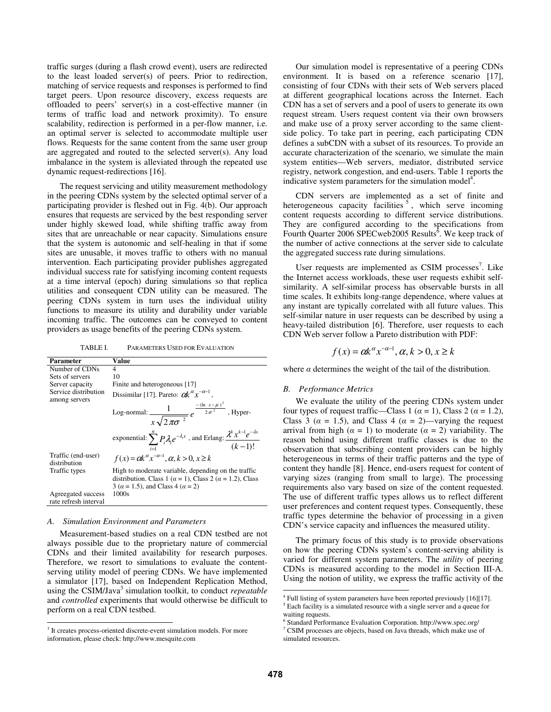traffic surges (during a flash crowd event), users are redirected to the least loaded server(s) of peers. Prior to redirection, matching of service requests and responses is performed to find target peers. Upon resource discovery, excess requests are offloaded to peers' server(s) in a cost-effective manner (in terms of traffic load and network proximity). To ensure scalability, redirection is performed in a per-flow manner, i.e. an optimal server is selected to accommodate multiple user flows. Requests for the same content from the same user group are aggregated and routed to the selected server(s). Any load imbalance in the system is alleviated through the repeated use dynamic request-redirections [16].

The request servicing and utility measurement methodology in the peering CDNs system by the selected optimal server of a participating provider is fleshed out in Fig. 4(b). Our approach ensures that requests are serviced by the best responding server under highly skewed load, while shifting traffic away from sites that are unreachable or near capacity. Simulations ensure that the system is autonomic and self-healing in that if some sites are unusable, it moves traffic to others with no manual intervention. Each participating provider publishes aggregated individual success rate for satisfying incoming content requests at a time interval (epoch) during simulations so that replica utilities and consequent CDN utility can be measured. The peering CDNs system in turn uses the individual utility functions to measure its utility and durability under variable incoming traffic. The outcomes can be conveyed to content providers as usage benefits of the peering CDNs system.

TABLE I. PARAMETERS USED FOR EVALUATION

| <b>Parameter</b>                      | Value                                                                                                                                                                              |
|---------------------------------------|------------------------------------------------------------------------------------------------------------------------------------------------------------------------------------|
| Number of CDNs                        | 4                                                                                                                                                                                  |
| Sets of servers                       | 10                                                                                                                                                                                 |
| Server capacity                       | Finite and heterogeneous [17]                                                                                                                                                      |
| Service distribution<br>among servers | Dissimilar [17]. Pareto: $\alpha k^{\alpha} x^{-\alpha-1}$ ,                                                                                                                       |
|                                       | Log-normal: $\frac{1}{x\sqrt{2\pi\sigma^2}}e^{-\frac{(\ln x-\mu)^2}{2\sigma^2}}$ , Hyper-                                                                                          |
|                                       | exponential: $\sum_{i=1}^{n} P_i \lambda_i e^{-\lambda_i x}$ , and Erlang: $\frac{\lambda^k x^{k-1} e^{-\lambda x}}{(k-1)!}$                                                       |
| Traffic (end-user)<br>distribution    | $f(x) = \alpha k^{\alpha} x^{-\alpha-1}, \alpha, k > 0, x \ge k$                                                                                                                   |
| Traffic types                         | High to moderate variable, depending on the traffic<br>distribution. Class 1 ( $\alpha$ = 1), Class 2 ( $\alpha$ = 1.2), Class<br>3 ( $\alpha$ = 1.5), and Class 4 ( $\alpha$ = 2) |
| Agreegated success                    | 1000s                                                                                                                                                                              |
| rate refresh interval                 |                                                                                                                                                                                    |

#### A. Simulation Environment and Parameters

-

Measurement-based studies on a real CDN testbed are not always possible due to the proprietary nature of commercial CDNs and their limited availability for research purposes. Therefore, we resort to simulations to evaluate the contentserving utility model of peering CDNs. We have implemented a simulator [17], based on Independent Replication Method, using the CSIM/Java<sup>3</sup> simulation toolkit, to conduct repeatable and controlled experiments that would otherwise be difficult to perform on a real CDN testbed.

Our simulation model is representative of a peering CDNs environment. It is based on a reference scenario [17], consisting of four CDNs with their sets of Web servers placed at different geographical locations across the Internet. Each CDN has a set of servers and a pool of users to generate its own request stream. Users request content via their own browsers and make use of a proxy server according to the same clientside policy. To take part in peering, each participating CDN defines a subCDN with a subset of its resources. To provide an accurate characterization of the scenario, we simulate the main system entities—Web servers, mediator, distributed service registry, network congestion, and end-users. Table 1 reports the indicative system parameters for the simulation model<sup>4</sup>.

CDN servers are implemented as a set of finite and heterogeneous capacity facilities<sup>5</sup>, which serve incoming content requests according to different service distributions. They are configured according to the specifications from Fourth Quarter 2006 SPECweb2005 Results<sup>6</sup>. We keep track of the number of active connections at the server side to calculate the aggregated success rate during simulations.

User requests are implemented as CSIM processes<sup>7</sup>. Like the Internet access workloads, these user requests exhibit selfsimilarity. A self-similar process has observable bursts in all time scales. It exhibits long-range dependence, where values at any instant are typically correlated with all future values. This self-similar nature in user requests can be described by using a heavy-tailed distribution [6]. Therefore, user requests to each CDN Web server follow a Pareto distribution with PDF:

$$
f(x) = \alpha k^{\alpha} x^{-\alpha-1}, \alpha, k > 0, x \ge k
$$

where  $\alpha$  determines the weight of the tail of the distribution.

#### B. Performance Metrics

We evaluate the utility of the peering CDNs system under four types of request traffic—Class 1 ( $\alpha$  = 1), Class 2 ( $\alpha$  = 1.2), Class 3 ( $\alpha = 1.5$ ), and Class 4 ( $\alpha = 2$ )—varying the request arrival from high ( $\alpha = 1$ ) to moderate ( $\alpha = 2$ ) variability. The reason behind using different traffic classes is due to the observation that subscribing content providers can be highly heterogeneous in terms of their traffic patterns and the type of content they handle [8]. Hence, end-users request for content of varying sizes (ranging from small to large). The processing requirements also vary based on size of the content requested. The use of different traffic types allows us to reflect different user preferences and content request types. Consequently, these traffic types determine the behavior of processing in a given CDN's service capacity and influences the measured utility.

The primary focus of this study is to provide observations on how the peering CDNs system's content-serving ability is varied for different system parameters. The utility of peering CDNs is measured according to the model in Section III-A. Using the notion of utility, we express the traffic activity of the

6

<sup>&</sup>lt;sup>3</sup> It creates process-oriented discrete-event simulation models. For more information, please check: http://www.mesquite.com

 4 Full listing of system parameters have been reported previously [16][17]. <sup>5</sup> Each facility is a simulated resource with a single server and a queue for

waiting requests. Standard Performance Evaluation Corporation. http://www.spec.org/

<sup>7</sup> CSIM processes are objects, based on Java threads, which make use of simulated resources.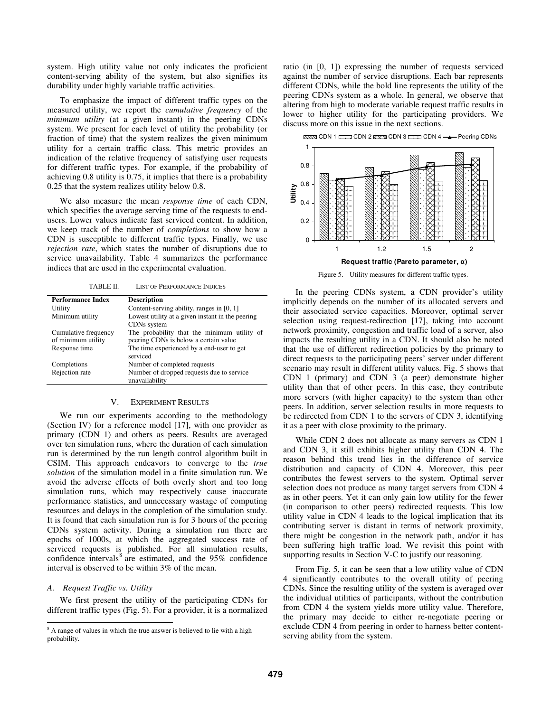system. High utility value not only indicates the proficient content-serving ability of the system, but also signifies its durability under highly variable traffic activities.

To emphasize the impact of different traffic types on the measured utility, we report the cumulative frequency of the minimum utility (at a given instant) in the peering CDNs system. We present for each level of utility the probability (or fraction of time) that the system realizes the given minimum utility for a certain traffic class. This metric provides an indication of the relative frequency of satisfying user requests for different traffic types. For example, if the probability of achieving 0.8 utility is 0.75, it implies that there is a probability 0.25 that the system realizes utility below 0.8.

We also measure the mean response time of each CDN, which specifies the average serving time of the requests to endusers. Lower values indicate fast serviced content. In addition, we keep track of the number of completions to show how a CDN is susceptible to different traffic types. Finally, we use rejection rate, which states the number of disruptions due to service unavailability. Table 4 summarizes the performance indices that are used in the experimental evaluation.

TABLE II. LIST OF PERFORMANCE INDICES

| <b>Performance Index</b> | <b>Description</b>                               |
|--------------------------|--------------------------------------------------|
| Utility                  | Content-serving ability, ranges in [0, 1]        |
| Minimum utility          | Lowest utility at a given instant in the peering |
|                          | CDNs system                                      |
| Cumulative frequency     | The probability that the minimum utility of      |
| of minimum utility       | peering CDNs is below a certain value            |
| Response time            | The time experienced by a end-user to get        |
|                          | serviced                                         |
| Completions              | Number of completed requests                     |
| Rejection rate           | Number of dropped requests due to service        |
|                          | unavailability                                   |

#### V. EXPERIMENT RESULTS

We run our experiments according to the methodology (Section IV) for a reference model [17], with one provider as primary (CDN 1) and others as peers. Results are averaged over ten simulation runs, where the duration of each simulation run is determined by the run length control algorithm built in CSIM. This approach endeavors to converge to the true solution of the simulation model in a finite simulation run. We avoid the adverse effects of both overly short and too long simulation runs, which may respectively cause inaccurate performance statistics, and unnecessary wastage of computing resources and delays in the completion of the simulation study. It is found that each simulation run is for 3 hours of the peering CDNs system activity. During a simulation run there are epochs of 1000s, at which the aggregated success rate of serviced requests is published. For all simulation results, confidence intervals<sup>8</sup> are estimated, and the  $95\%$  confidence interval is observed to be within 3% of the mean.

### A. Request Traffic vs. Utility

We first present the utility of the participating CDNs for different traffic types (Fig. 5). For a provider, it is a normalized ratio (in [0, 1]) expressing the number of requests serviced against the number of service disruptions. Each bar represents different CDNs, while the bold line represents the utility of the peering CDNs system as a whole. In general, we observe that altering from high to moderate variable request traffic results in lower to higher utility for the participating providers. We discuss more on this issue in the next sections.



Figure 5. Utility measures for different traffic types.

In the peering CDNs system, a CDN provider's utility implicitly depends on the number of its allocated servers and their associated service capacities. Moreover, optimal server selection using request-redirection [17], taking into account network proximity, congestion and traffic load of a server, also impacts the resulting utility in a CDN. It should also be noted that the use of different redirection policies by the primary to direct requests to the participating peers' server under different scenario may result in different utility values. Fig. 5 shows that CDN 1 (primary) and CDN 3 (a peer) demonstrate higher utility than that of other peers. In this case, they contribute more servers (with higher capacity) to the system than other peers. In addition, server selection results in more requests to be redirected from CDN 1 to the servers of CDN 3, identifying it as a peer with close proximity to the primary.

While CDN 2 does not allocate as many servers as CDN 1 and CDN 3, it still exhibits higher utility than CDN 4. The reason behind this trend lies in the difference of service distribution and capacity of CDN 4. Moreover, this peer contributes the fewest servers to the system. Optimal server selection does not produce as many target servers from CDN 4 as in other peers. Yet it can only gain low utility for the fewer (in comparison to other peers) redirected requests. This low utility value in CDN 4 leads to the logical implication that its contributing server is distant in terms of network proximity, there might be congestion in the network path, and/or it has been suffering high traffic load. We revisit this point with supporting results in Section V-C to justify our reasoning.

From Fig. 5, it can be seen that a low utility value of CDN 4 significantly contributes to the overall utility of peering CDNs. Since the resulting utility of the system is averaged over the individual utilities of participants, without the contribution from CDN 4 the system yields more utility value. Therefore, the primary may decide to either re-negotiate peering or exclude CDN 4 from peering in order to harness better contentserving ability from the system.

 8 A range of values in which the true answer is believed to lie with a high probability.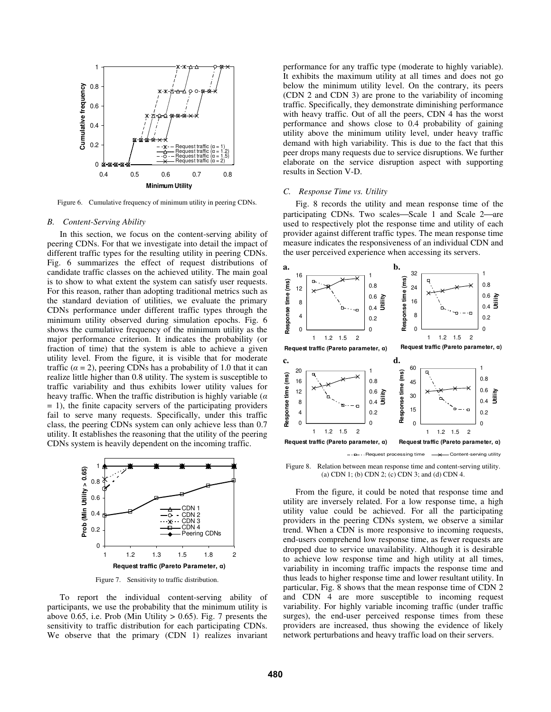

Figure 6. Cumulative frequency of minimum utility in peering CDNs.

#### B. Content-Serving Ability

In this section, we focus on the content-serving ability of peering CDNs. For that we investigate into detail the impact of different traffic types for the resulting utility in peering CDNs. Fig. 6 summarizes the effect of request distributions of candidate traffic classes on the achieved utility. The main goal is to show to what extent the system can satisfy user requests. For this reason, rather than adopting traditional metrics such as the standard deviation of utilities, we evaluate the primary CDNs performance under different traffic types through the minimum utility observed during simulation epochs. Fig. 6 shows the cumulative frequency of the minimum utility as the major performance criterion. It indicates the probability (or fraction of time) that the system is able to achieve a given utility level. From the figure, it is visible that for moderate traffic ( $\alpha = 2$ ), peering CDNs has a probability of 1.0 that it can realize little higher than 0.8 utility. The system is susceptible to traffic variability and thus exhibits lower utility values for heavy traffic. When the traffic distribution is highly variable ( $\alpha$  $= 1$ ), the finite capacity servers of the participating providers fail to serve many requests. Specifically, under this traffic class, the peering CDNs system can only achieve less than 0.7 utility. It establishes the reasoning that the utility of the peering CDNs system is heavily dependent on the incoming traffic.



Figure 7. Sensitivity to traffic distribution.

To report the individual content-serving ability of participants, we use the probability that the minimum utility is above 0.65, i.e. Prob (Min Utility  $> 0.65$ ). Fig. 7 presents the sensitivity to traffic distribution for each participating CDNs. We observe that the primary (CDN 1) realizes invariant performance for any traffic type (moderate to highly variable). It exhibits the maximum utility at all times and does not go below the minimum utility level. On the contrary, its peers (CDN 2 and CDN 3) are prone to the variability of incoming traffic. Specifically, they demonstrate diminishing performance with heavy traffic. Out of all the peers, CDN 4 has the worst performance and shows close to 0.4 probability of gaining utility above the minimum utility level, under heavy traffic demand with high variability. This is due to the fact that this peer drops many requests due to service disruptions. We further elaborate on the service disruption aspect with supporting results in Section V-D.

## C. Response Time vs. Utility

Fig. 8 records the utility and mean response time of the participating CDNs. Two scales—Scale 1 and Scale 2—are used to respectively plot the response time and utility of each provider against different traffic types. The mean response time measure indicates the responsiveness of an individual CDN and the user perceived experience when accessing its servers.



Figure 8. Relation between mean response time and content-serving utility. (a) CDN 1; (b) CDN 2; (c) CDN 3; and (d) CDN 4.

From the figure, it could be noted that response time and utility are inversely related. For a low response time, a high utility value could be achieved. For all the participating providers in the peering CDNs system, we observe a similar trend. When a CDN is more responsive to incoming requests, end-users comprehend low response time, as fewer requests are dropped due to service unavailability. Although it is desirable to achieve low response time and high utility at all times, variability in incoming traffic impacts the response time and thus leads to higher response time and lower resultant utility. In particular, Fig. 8 shows that the mean response time of CDN 2 and CDN 4 are more susceptible to incoming request variability. For highly variable incoming traffic (under traffic surges), the end-user perceived response times from these providers are increased, thus showing the evidence of likely network perturbations and heavy traffic load on their servers.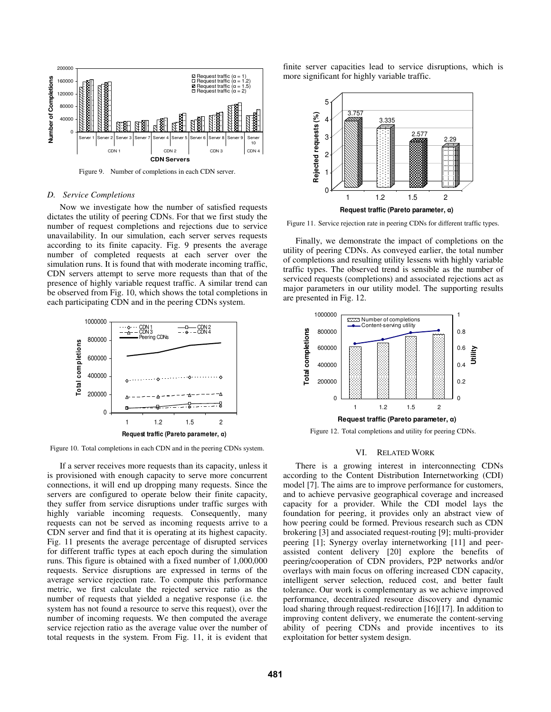

Figure 9. Number of completions in each CDN server.

#### D. Service Completions

Now we investigate how the number of satisfied requests dictates the utility of peering CDNs. For that we first study the number of request completions and rejections due to service unavailability. In our simulation, each server serves requests according to its finite capacity. Fig. 9 presents the average number of completed requests at each server over the simulation runs. It is found that with moderate incoming traffic, CDN servers attempt to serve more requests than that of the presence of highly variable request traffic. A similar trend can be observed from Fig. 10, which shows the total completions in each participating CDN and in the peering CDNs system.



Figure 10. Total completions in each CDN and in the peering CDNs system.

If a server receives more requests than its capacity, unless it is provisioned with enough capacity to serve more concurrent connections, it will end up dropping many requests. Since the servers are configured to operate below their finite capacity, they suffer from service disruptions under traffic surges with highly variable incoming requests. Consequently, many requests can not be served as incoming requests arrive to a CDN server and find that it is operating at its highest capacity. Fig. 11 presents the average percentage of disrupted services for different traffic types at each epoch during the simulation runs. This figure is obtained with a fixed number of 1,000,000 requests. Service disruptions are expressed in terms of the average service rejection rate. To compute this performance metric, we first calculate the rejected service ratio as the number of requests that yielded a negative response (i.e. the system has not found a resource to serve this request), over the number of incoming requests. We then computed the average service rejection ratio as the average value over the number of total requests in the system. From Fig. 11, it is evident that finite server capacities lead to service disruptions, which is more significant for highly variable traffic.



Figure 11. Service rejection rate in peering CDNs for different traffic types.

Finally, we demonstrate the impact of completions on the utility of peering CDNs. As conveyed earlier, the total number of completions and resulting utility lessens with highly variable traffic types. The observed trend is sensible as the number of serviced requests (completions) and associated rejections act as major parameters in our utility model. The supporting results are presented in Fig. 12.



Figure 12. Total completions and utility for peering CDNs.

#### VI. RELATED WORK

There is a growing interest in interconnecting CDNs according to the Content Distribution Internetworking (CDI) model [7]. The aims are to improve performance for customers, and to achieve pervasive geographical coverage and increased capacity for a provider. While the CDI model lays the foundation for peering, it provides only an abstract view of how peering could be formed. Previous research such as CDN brokering [3] and associated request-routing [9]; multi-provider peering [1]; Synergy overlay internetworking [11] and peerassisted content delivery [20] explore the benefits of peering/cooperation of CDN providers, P2P networks and/or overlays with main focus on offering increased CDN capacity, intelligent server selection, reduced cost, and better fault tolerance. Our work is complementary as we achieve improved performance, decentralized resource discovery and dynamic load sharing through request-redirection [16][17]. In addition to improving content delivery, we enumerate the content-serving ability of peering CDNs and provide incentives to its exploitation for better system design.